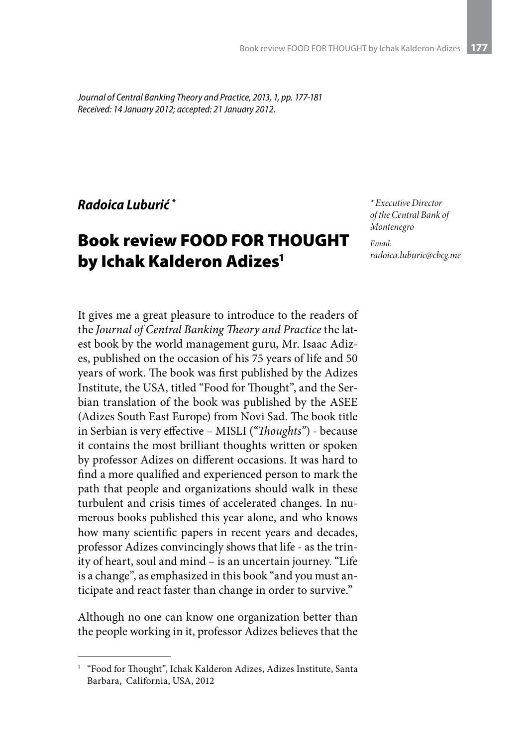*Journal of Central Banking Theory and Practice, 2013, 1, pp. 177-181 Received: 14 January 2012; accepted: 21 January 2012.*

## *Radoica Luburić \**

## Book review FOOD FOR THOUGHT by Ichak Kalderon Adizes<sup>1</sup>

*\* Executive Director of the Central Bank of Montenegro*

*Email: radoica.luburic@cbcg.me*

It gives me a great pleasure to introduce to the readers of the *Journal of Central Banking Theory and Practice* the latest book by the world management guru, Mr. Isaac Adizes, published on the occasion of his 75 years of life and 50 years of work. The book was first published by the Adizes Institute, the USA, titled "Food for Thought", and the Serbian translation of the book was published by the ASEE (Adizes South East Europe) from Novi Sad. The book title in Serbian is very effective – MISLI (*"Thoughts"*) - because it contains the most brilliant thoughts written or spoken by professor Adizes on different occasions. It was hard to find a more qualified and experienced person to mark the path that people and organizations should walk in these turbulent and crisis times of accelerated changes. In numerous books published this year alone, and who knows how many scientific papers in recent years and decades, professor Adizes convincingly shows that life - as the trinity of heart, soul and mind – is an uncertain journey. "Life is a change", as emphasized in this book "and you must anticipate and react faster than change in order to survive."

Although no one can know one organization better than the people working in it, professor Adizes believes that the

<sup>&</sup>lt;sup>1</sup> "Food for Thought", Ichak Kalderon Adizes, Adizes Institute, Santa Barbara, California, USA, 2012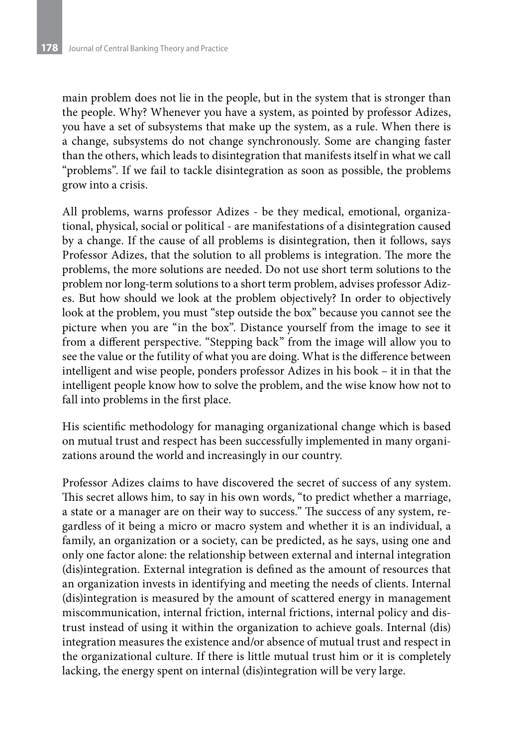main problem does not lie in the people, but in the system that is stronger than the people. Why? Whenever you have a system, as pointed by professor Adizes, you have a set of subsystems that make up the system, as a rule. When there is a change, subsystems do not change synchronously. Some are changing faster than the others, which leads to disintegration that manifests itself in what we call "problems". If we fail to tackle disintegration as soon as possible, the problems grow into a crisis.

All problems, warns professor Adizes - be they medical, emotional, organizational, physical, social or political - are manifestations of a disintegration caused by a change. If the cause of all problems is disintegration, then it follows, says Professor Adizes, that the solution to all problems is integration. The more the problems, the more solutions are needed. Do not use short term solutions to the problem nor long-term solutions to a short term problem, advises professor Adizes. But how should we look at the problem objectively? In order to objectively look at the problem, you must "step outside the box" because you cannot see the picture when you are "in the box". Distance yourself from the image to see it from a different perspective. "Stepping back" from the image will allow you to see the value or the futility of what you are doing. What is the difference between intelligent and wise people, ponders professor Adizes in his book – it in that the intelligent people know how to solve the problem, and the wise know how not to fall into problems in the first place.

His scientific methodology for managing organizational change which is based on mutual trust and respect has been successfully implemented in many organizations around the world and increasingly in our country.

Professor Adizes claims to have discovered the secret of success of any system. This secret allows him, to say in his own words, "to predict whether a marriage, a state or a manager are on their way to success." The success of any system, regardless of it being a micro or macro system and whether it is an individual, a family, an organization or a society, can be predicted, as he says, using one and only one factor alone: the relationship between external and internal integration (dis)integration. External integration is defined as the amount of resources that an organization invests in identifying and meeting the needs of clients. Internal (dis)integration is measured by the amount of scattered energy in management miscommunication, internal friction, internal frictions, internal policy and distrust instead of using it within the organization to achieve goals. Internal (dis) integration measures the existence and/or absence of mutual trust and respect in the organizational culture. If there is little mutual trust him or it is completely lacking, the energy spent on internal (dis)integration will be very large.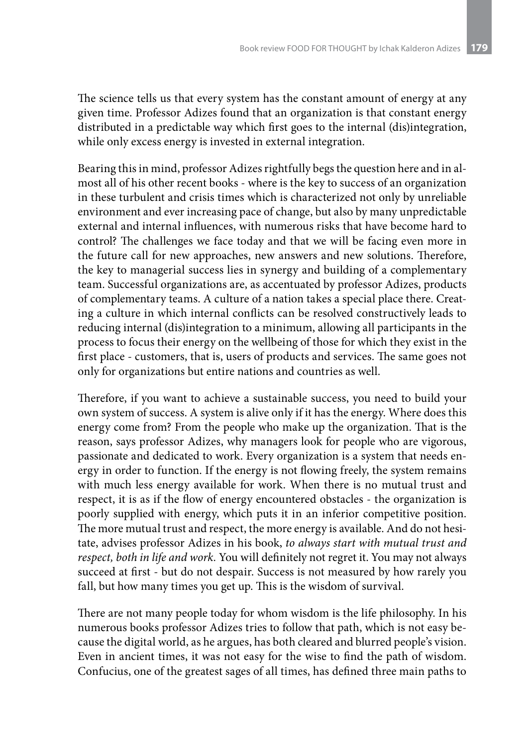The science tells us that every system has the constant amount of energy at any given time. Professor Adizes found that an organization is that constant energy distributed in a predictable way which first goes to the internal (dis)integration, while only excess energy is invested in external integration.

Bearing this in mind, professor Adizes rightfully begs the question here and in almost all of his other recent books - where is the key to success of an organization in these turbulent and crisis times which is characterized not only by unreliable environment and ever increasing pace of change, but also by many unpredictable external and internal influences, with numerous risks that have become hard to control? The challenges we face today and that we will be facing even more in the future call for new approaches, new answers and new solutions. Therefore, the key to managerial success lies in synergy and building of a complementary team. Successful organizations are, as accentuated by professor Adizes, products of complementary teams. A culture of a nation takes a special place there. Creating a culture in which internal conflicts can be resolved constructively leads to reducing internal (dis)integration to a minimum, allowing all participants in the process to focus their energy on the wellbeing of those for which they exist in the first place - customers, that is, users of products and services. The same goes not only for organizations but entire nations and countries as well.

Therefore, if you want to achieve a sustainable success, you need to build your own system of success. A system is alive only if it has the energy. Where does this energy come from? From the people who make up the organization. That is the reason, says professor Adizes, why managers look for people who are vigorous, passionate and dedicated to work. Every organization is a system that needs energy in order to function. If the energy is not flowing freely, the system remains with much less energy available for work. When there is no mutual trust and respect, it is as if the flow of energy encountered obstacles - the organization is poorly supplied with energy, which puts it in an inferior competitive position. The more mutual trust and respect, the more energy is available. And do not hesitate, advises professor Adizes in his book, *to always start with mutual trust and respect, both in life and work.* You will definitely not regret it. You may not always succeed at first - but do not despair. Success is not measured by how rarely you fall, but how many times you get up. This is the wisdom of survival.

There are not many people today for whom wisdom is the life philosophy. In his numerous books professor Adizes tries to follow that path, which is not easy because the digital world, as he argues, has both cleared and blurred people's vision. Even in ancient times, it was not easy for the wise to find the path of wisdom. Confucius, one of the greatest sages of all times, has defined three main paths to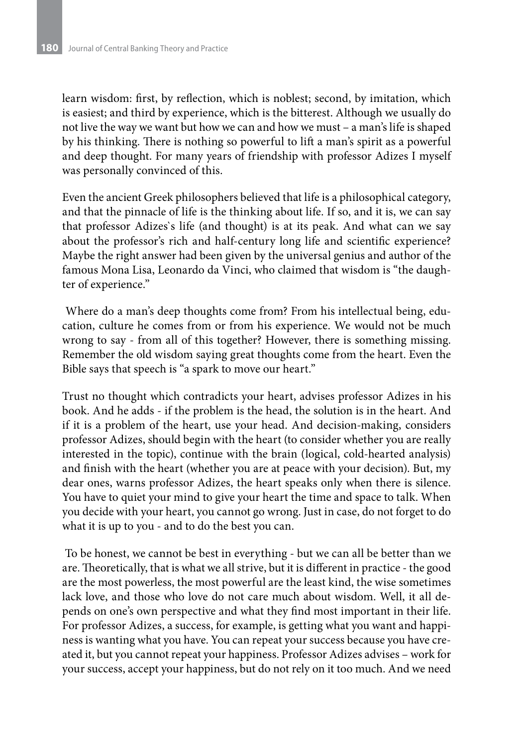learn wisdom: first, by reflection, which is noblest; second, by imitation, which is easiest; and third by experience, which is the bitterest. Although we usually do not live the way we want but how we can and how we must – a man's life is shaped by his thinking. There is nothing so powerful to lift a man's spirit as a powerful and deep thought. For many years of friendship with professor Adizes I myself was personally convinced of this.

Even the ancient Greek philosophers believed that life is a philosophical category, and that the pinnacle of life is the thinking about life. If so, and it is, we can say that professor Adizes`s life (and thought) is at its peak. And what can we say about the professor's rich and half-century long life and scientific experience? Maybe the right answer had been given by the universal genius and author of the famous Mona Lisa, Leonardo da Vinci, who claimed that wisdom is "the daughter of experience."

 Where do a man's deep thoughts come from? From his intellectual being, education, culture he comes from or from his experience. We would not be much wrong to say - from all of this together? However, there is something missing. Remember the old wisdom saying great thoughts come from the heart. Even the Bible says that speech is "a spark to move our heart."

Trust no thought which contradicts your heart, advises professor Adizes in his book. And he adds - if the problem is the head, the solution is in the heart. And if it is a problem of the heart, use your head. And decision-making, considers professor Adizes, should begin with the heart (to consider whether you are really interested in the topic), continue with the brain (logical, cold-hearted analysis) and finish with the heart (whether you are at peace with your decision). But, my dear ones, warns professor Adizes, the heart speaks only when there is silence. You have to quiet your mind to give your heart the time and space to talk. When you decide with your heart, you cannot go wrong. Just in case, do not forget to do what it is up to you - and to do the best you can.

 To be honest, we cannot be best in everything - but we can all be better than we are. Theoretically, that is what we all strive, but it is different in practice - the good are the most powerless, the most powerful are the least kind, the wise sometimes lack love, and those who love do not care much about wisdom. Well, it all depends on one's own perspective and what they find most important in their life. For professor Adizes, a success, for example, is getting what you want and happiness is wanting what you have. You can repeat your success because you have created it, but you cannot repeat your happiness. Professor Adizes advises – work for your success, accept your happiness, but do not rely on it too much. And we need